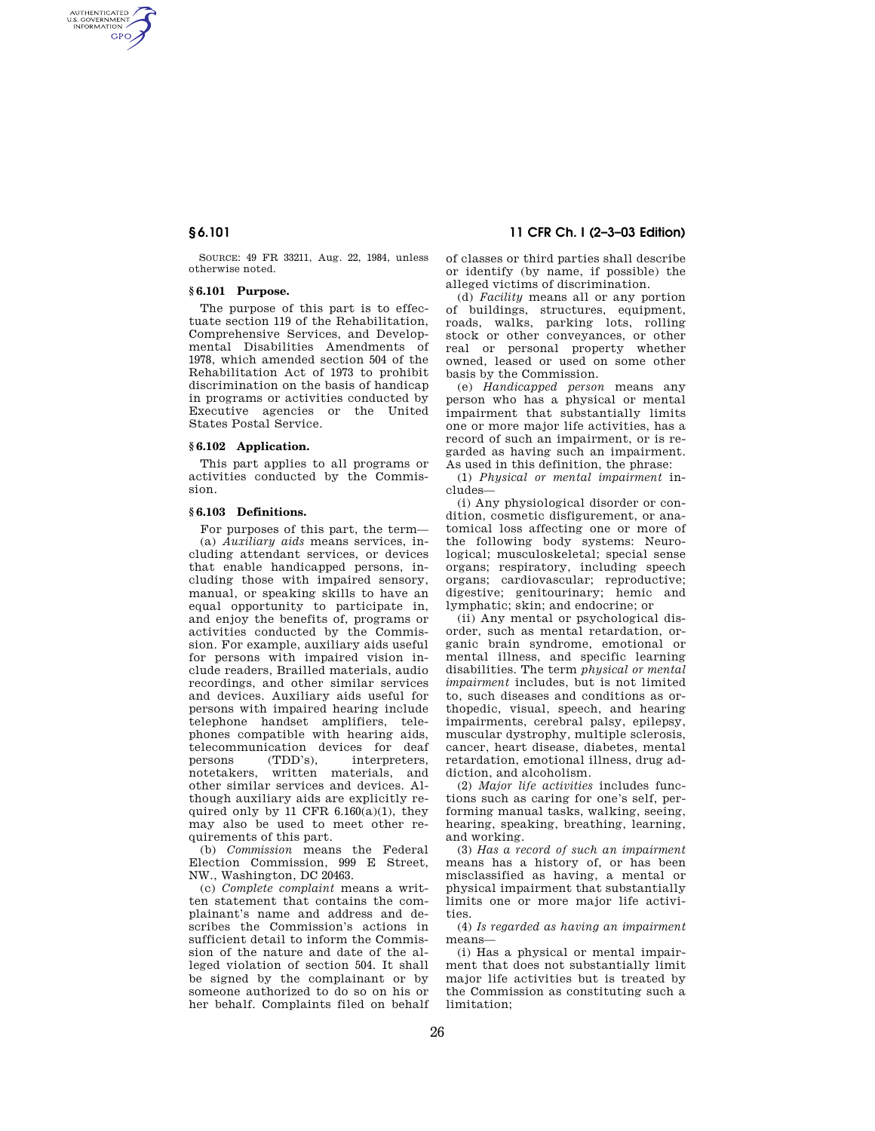AUTHENTICATED<br>U.S. GOVERNMENT<br>INFORMATION **GPO** 

> SOURCE: 49 FR 33211, Aug. 22, 1984, unless otherwise noted.

## **§ 6.101 Purpose.**

The purpose of this part is to effectuate section 119 of the Rehabilitation, Comprehensive Services, and Developmental Disabilities Amendments of 1978, which amended section 504 of the Rehabilitation Act of 1973 to prohibit discrimination on the basis of handicap in programs or activities conducted by Executive agencies or the United States Postal Service.

#### **§ 6.102 Application.**

This part applies to all programs or activities conducted by the Commission.

#### **§ 6.103 Definitions.**

For purposes of this part, the term— (a) *Auxiliary aids* means services, including attendant services, or devices that enable handicapped persons, including those with impaired sensory, manual, or speaking skills to have an equal opportunity to participate in, and enjoy the benefits of, programs or activities conducted by the Commission. For example, auxiliary aids useful for persons with impaired vision include readers, Brailled materials, audio recordings, and other similar services and devices. Auxiliary aids useful for persons with impaired hearing include telephone handset amplifiers, telephones compatible with hearing aids, telecommunication devices for deaf persons (TDD's), interpreters, notetakers, written materials, and other similar services and devices. Although auxiliary aids are explicitly required only by 11 CFR 6.160(a)(1), they may also be used to meet other requirements of this part.

(b) *Commission* means the Federal Election Commission, 999 E Street, NW., Washington, DC 20463.

(c) *Complete complaint* means a written statement that contains the complainant's name and address and describes the Commission's actions in sufficient detail to inform the Commission of the nature and date of the alleged violation of section 504. It shall be signed by the complainant or by someone authorized to do so on his or her behalf. Complaints filed on behalf

# **§ 6.101 11 CFR Ch. I (2–3–03 Edition)**

of classes or third parties shall describe or identify (by name, if possible) the alleged victims of discrimination.

(d) *Facility* means all or any portion of buildings, structures, equipment, roads, walks, parking lots, rolling stock or other conveyances, or other real or personal property whether owned, leased or used on some other basis by the Commission.

(e) *Handicapped person* means any person who has a physical or mental impairment that substantially limits one or more major life activities, has a record of such an impairment, or is regarded as having such an impairment. As used in this definition, the phrase:

(1) *Physical or mental impairment* includes—

(i) Any physiological disorder or condition, cosmetic disfigurement, or anatomical loss affecting one or more of the following body systems: Neurological; musculoskeletal; special sense organs; respiratory, including speech organs; cardiovascular; reproductive; digestive; genitourinary; hemic and lymphatic; skin; and endocrine; or

(ii) Any mental or psychological disorder, such as mental retardation, organic brain syndrome, emotional or mental illness, and specific learning disabilities. The term *physical or mental impairment* includes, but is not limited to, such diseases and conditions as orthopedic, visual, speech, and hearing impairments, cerebral palsy, epilepsy, muscular dystrophy, multiple sclerosis, cancer, heart disease, diabetes, mental retardation, emotional illness, drug addiction, and alcoholism.

(2) *Major life activities* includes functions such as caring for one's self, performing manual tasks, walking, seeing, hearing, speaking, breathing, learning, and working.

(3) *Has a record of such an impairment* means has a history of, or has been misclassified as having, a mental or physical impairment that substantially limits one or more major life activities.

(4) *Is regarded as having an impairment* means—

(i) Has a physical or mental impairment that does not substantially limit major life activities but is treated by the Commission as constituting such a limitation;